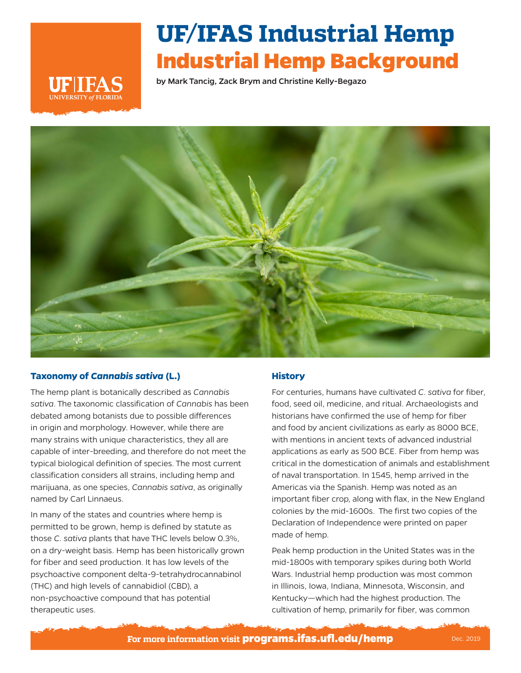

# **UF/IFAS Industrial Hemp Industrial Hemp Background**

by Mark Tancig, Zack Brym and Christine Kelly-Begazo



## **Taxonomy of** *Cannabis sativa* **(L.)**

The hemp plant is botanically described as *Cannabis sativa*. The taxonomic classification of *Cannabis* has been debated among botanists due to possible differences in origin and morphology. However, while there are many strains with unique characteristics, they all are capable of inter-breeding, and therefore do not meet the typical biological definition of species. The most current classification considers all strains, including hemp and marijuana, as one species, *Cannabis sativa*, as originally named by Carl Linnaeus.

In many of the states and countries where hemp is permitted to be grown, hemp is defined by statute as those *C. sativa* plants that have THC levels below 0.3%, on a dry-weight basis. Hemp has been historically grown for fiber and seed production. It has low levels of the psychoactive component delta-9-tetrahydrocannabinol (THC) and high levels of cannabidiol (CBD), a non-psychoactive compound that has potential therapeutic uses.

## **History**

For centuries, humans have cultivated *C. sativa* for fiber, food, seed oil, medicine, and ritual. Archaeologists and historians have confirmed the use of hemp for fiber and food by ancient civilizations as early as 8000 BCE, with mentions in ancient texts of advanced industrial applications as early as 500 BCE. Fiber from hemp was critical in the domestication of animals and establishment of naval transportation. In 1545, hemp arrived in the Americas via the Spanish. Hemp was noted as an important fiber crop, along with flax, in the New England colonies by the mid-1600s. The first two copies of the Declaration of Independence were printed on paper made of hemp.

Peak hemp production in the United States was in the mid-1800s with temporary spikes during both World Wars. Industrial hemp production was most common in Illinois, Iowa, Indiana, Minnesota, Wisconsin, and Kentucky—which had the highest production. The cultivation of hemp, primarily for fiber, was common

**For more information visit programs.ifas.ufl.edu/hemp** Dec. 2019